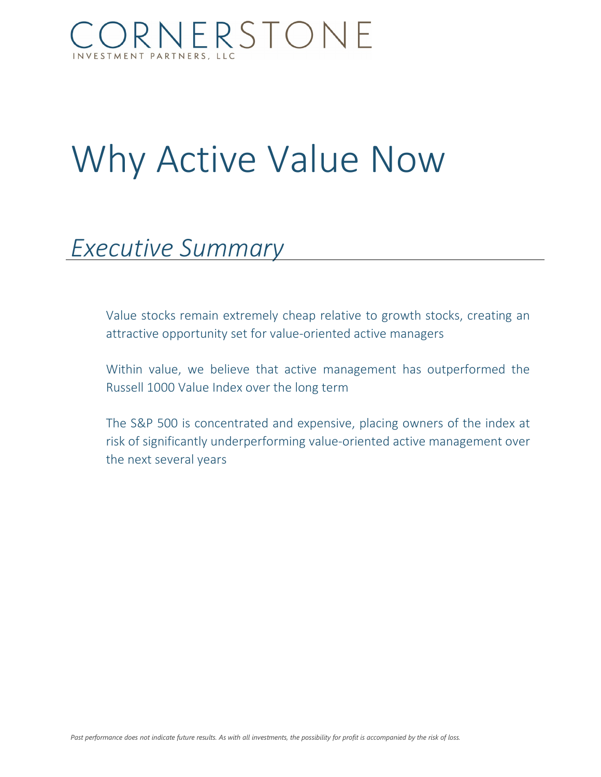### ORNERSTONE **MENT PARTNERS, LLC**

# Why Active Value Now

## *Executive Summary*

Value stocks remain extremely cheap relative to growth stocks, creating an attractive opportunity set for value-oriented active managers

Within value, we believe that active management has outperformed the Russell 1000 Value Index over the long term

The S&P 500 is concentrated and expensive, placing owners of the index at risk of significantly underperforming value-oriented active management over the next several years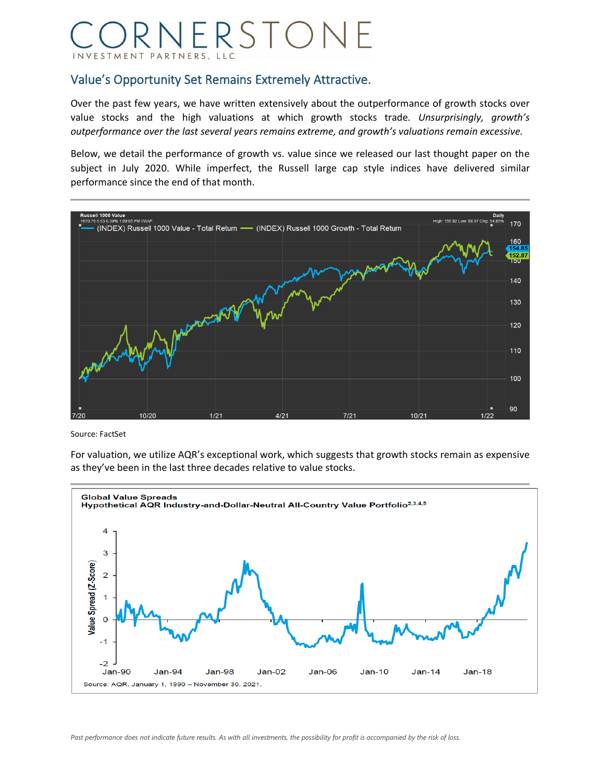### ORNERSTONE INVESTMENT PARTNERS, LLC

#### Value's Opportunity Set Remains Extremely Attractive.

Over the past few years, we have written extensively about the outperformance of growth stocks over value stocks and the high valuations at which growth stocks trade*. Unsurprisingly, growth's outperformance over the last several years remains extreme, and growth's valuations remain excessive.*

Below, we detail the performance of growth vs. value since we released our last thought paper on the subject in July 2020. While imperfect, the Russell large cap style indices have delivered similar performance since the end of that month.



Source: FactSet

For valuation, we utilize AQR's exceptional work, which suggests that growth stocks remain as expensive as they've been in the last three decades relative to value stocks.

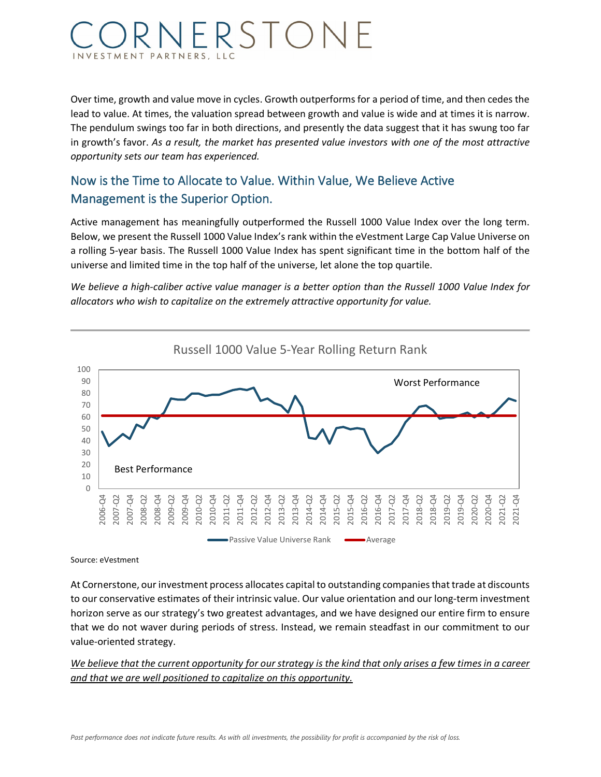### VERSTON **ESTMENT PARTNERS, LLC**

Over time, growth and value move in cycles. Growth outperforms for a period of time, and then cedes the lead to value. At times, the valuation spread between growth and value is wide and at times it is narrow. The pendulum swings too far in both directions, and presently the data suggest that it has swung too far in growth's favor. *As a result, the market has presented value investors with one of the most attractive opportunity sets our team has experienced.*

### Now is the Time to Allocate to Value. Within Value, We Believe Active Management is the Superior Option.

Active management has meaningfully outperformed the Russell 1000 Value Index over the long term. Below, we present the Russell 1000 Value Index's rank within the eVestment Large Cap Value Universe on a rolling 5-year basis. The Russell 1000 Value Index has spent significant time in the bottom half of the universe and limited time in the top half of the universe, let alone the top quartile.

*We believe a high-caliber active value manager is a better option than the Russell 1000 Value Index for allocators who wish to capitalize on the extremely attractive opportunity for value.*



Source: eVestment

At Cornerstone, our investment process allocates capital to outstanding companies that trade at discounts to our conservative estimates of their intrinsic value. Our value orientation and our long-term investment horizon serve as our strategy's two greatest advantages, and we have designed our entire firm to ensure that we do not waver during periods of stress. Instead, we remain steadfast in our commitment to our value-oriented strategy.

*We believe that the current opportunity for our strategy is the kind that only arises a few times in a career and that we are well positioned to capitalize on this opportunity.*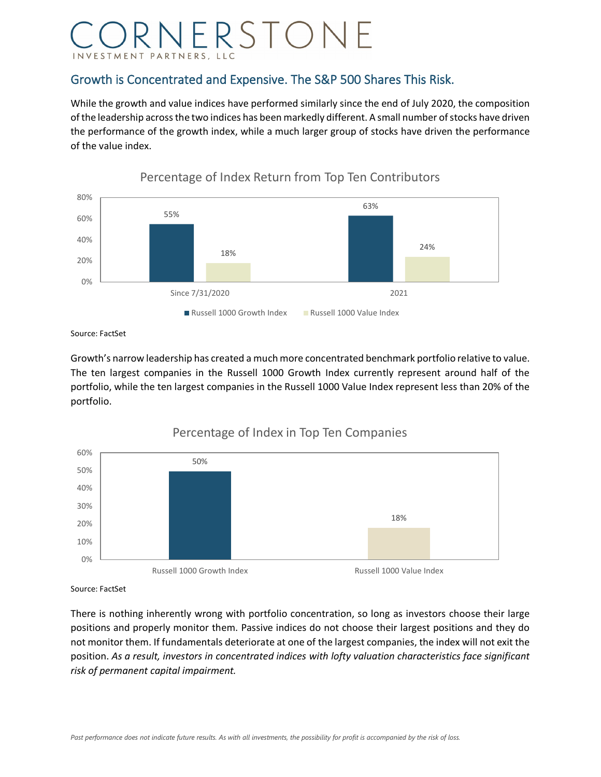### RNERSTONE PARTNERS, LLC

#### Growth is Concentrated and Expensive. The S&P 500 Shares This Risk.

While the growth and value indices have performed similarly since the end of July 2020, the composition of the leadership across the two indices has been markedly different. A small number of stocks have driven the performance of the growth index, while a much larger group of stocks have driven the performance of the value index.



#### Percentage of Index Return from Top Ten Contributors

Source: FactSet

Growth's narrow leadership has created a much more concentrated benchmark portfolio relative to value. The ten largest companies in the Russell 1000 Growth Index currently represent around half of the portfolio, while the ten largest companies in the Russell 1000 Value Index represent less than 20% of the portfolio.



#### Percentage of Index in Top Ten Companies

Source: FactSet

There is nothing inherently wrong with portfolio concentration, so long as investors choose their large positions and properly monitor them. Passive indices do not choose their largest positions and they do not monitor them. If fundamentals deteriorate at one of the largest companies, the index will not exit the position. *As a result, investors in concentrated indices with lofty valuation characteristics face significant risk of permanent capital impairment.*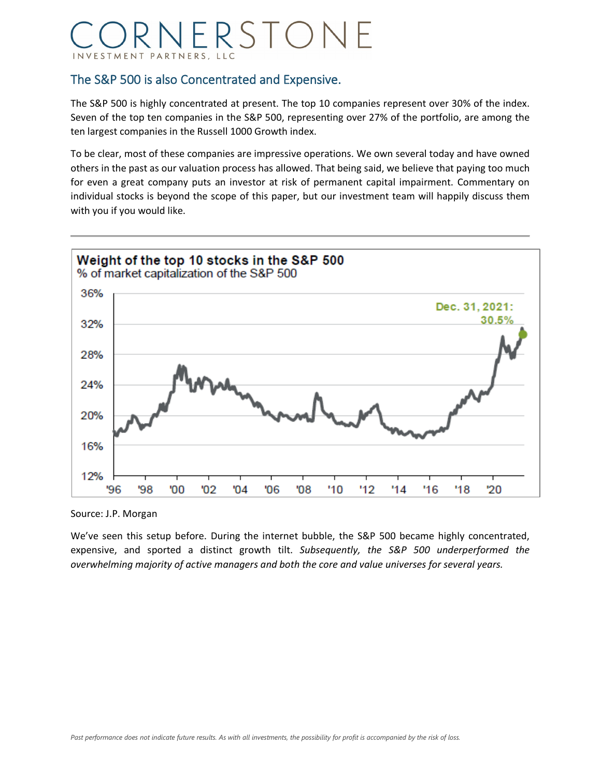### RNERSTONE PARTNERS, LLC

#### The S&P 500 is also Concentrated and Expensive.

The S&P 500 is highly concentrated at present. The top 10 companies represent over 30% of the index. Seven of the top ten companies in the S&P 500, representing over 27% of the portfolio, are among the ten largest companies in the Russell 1000 Growth index.

To be clear, most of these companies are impressive operations. We own several today and have owned others in the past as our valuation process has allowed. That being said, we believe that paying too much for even a great company puts an investor at risk of permanent capital impairment. Commentary on individual stocks is beyond the scope of this paper, but our investment team will happily discuss them with you if you would like.



Source: J.P. Morgan

We've seen this setup before. During the internet bubble, the S&P 500 became highly concentrated, expensive, and sported a distinct growth tilt. *Subsequently, the S&P 500 underperformed the overwhelming majority of active managers and both the core and value universes for several years.*